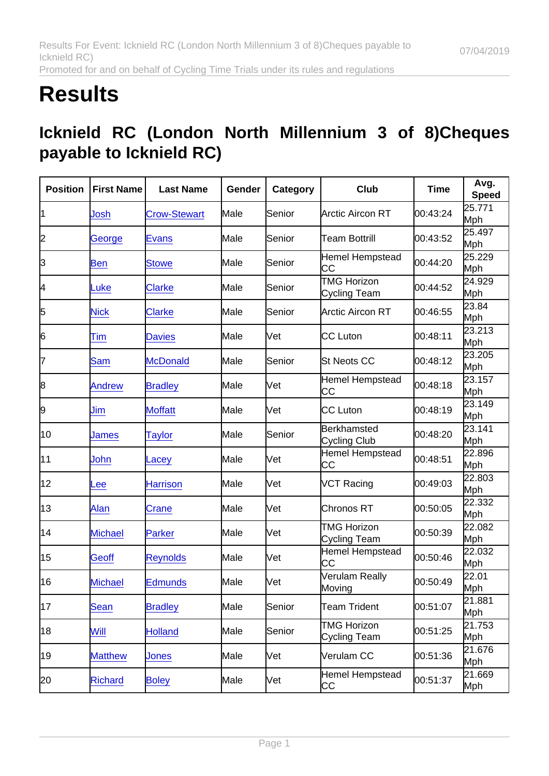## **Results**

## Icknield RC (London North Millennium 3 of 8)Cheques payable to Icknield RC)

| Position | <b>First Name</b> | Last Name           | Gender | Category | Club                               | Time     | Avg.<br>Speed |
|----------|-------------------|---------------------|--------|----------|------------------------------------|----------|---------------|
| 1        | Josh              | <b>Crow-Stewart</b> | Male   | Senior   | Arctic Aircon RT                   | 00:43:24 | 25.771<br>Mph |
| 2        | George            | <b>Evans</b>        | Male   | Senior   | <b>Team Bottrill</b>               | 00:43:52 | 25.497<br>Mph |
| 3        | <b>Ben</b>        | <b>Stowe</b>        | Male   | Senior   | Hemel Hempstead<br>CC              | 00:44:20 | 25.229<br>Mph |
| 4        | Luke              | <b>Clarke</b>       | Male   | Senior   | <b>TMG Horizon</b><br>Cycling Team | 00:44:52 | 24.929<br>Mph |
| 5        | <b>Nick</b>       | <b>Clarke</b>       | Male   | Senior   | Arctic Aircon RT                   | 00:46:55 | 23.84<br>Mph  |
| 6        | Tim               | <b>Davies</b>       | Male   | lVet     | <b>CC</b> Luton                    | 00:48:11 | 23.213<br>Mph |
| 7        | <b>Sam</b>        | <b>McDonald</b>     | Male   | lSenior  | <b>St Neots CC</b>                 | 00:48:12 | 23.205<br>Mph |
| 8        | <b>Andrew</b>     | <b>Bradley</b>      | Male   | Vet      | Hemel Hempstead<br>CC              | 00:48:18 | 23.157<br>Mph |
| 9        | Jim               | <b>Moffatt</b>      | Male   | Vet      | CC Luton                           | 00:48:19 | 23.149<br>Mph |
| 10       | James             | <b>Taylor</b>       | Male   | Senior   | Berkhamsted<br>Cycling Club        | 00:48:20 | 23.141<br>Mph |
| 11       | John              | Lacey               | Male   | lVet     | Hemel Hempstead<br>СC              | 00:48:51 | 22.896<br>Mph |
| 12       | Lee               | <b>Harrison</b>     | Male   | Vet      | <b>VCT Racing</b>                  | 00:49:03 | 22.803<br>Mph |
| 13       | Alan              | Crane               | Male   | Vet      | Chronos RT                         | 00:50:05 | 22.332<br>Mph |
| 14       | <b>Michael</b>    | Parker              | Male   | Vet      | <b>TMG Horizon</b><br>Cycling Team | 00:50:39 | 22.082<br>Mph |
| 15       | <b>Geoff</b>      | <b>Reynolds</b>     | Male   | lVet     | <b>Hemel Hempstead</b><br>СC       | 00:50:46 | 22.032<br>Mph |
| 16       | <b>Michael</b>    | <b>Edmunds</b>      | Male   | Vet      | Verulam Really<br>Moving           | 00:50:49 | 22.01<br>Mph  |
| 17       | Sean              | <b>Bradley</b>      | Male   | Senior   | <b>Team Trident</b>                | 00:51:07 | 21.881<br>Mph |
| 18       | Will              | <b>Holland</b>      | Male   | Senior   | <b>TMG Horizon</b><br>Cycling Team | 00:51:25 | 21.753<br>Mph |
| 19       | <b>Matthew</b>    | <b>Jones</b>        | Male   | Vet      | Verulam CC                         | 00:51:36 | 21.676<br>Mph |
| 20       | Richard           | <b>Boley</b>        | Male   | Vet      | Hemel Hempstead<br>CС              | 00:51:37 | 21.669<br>Mph |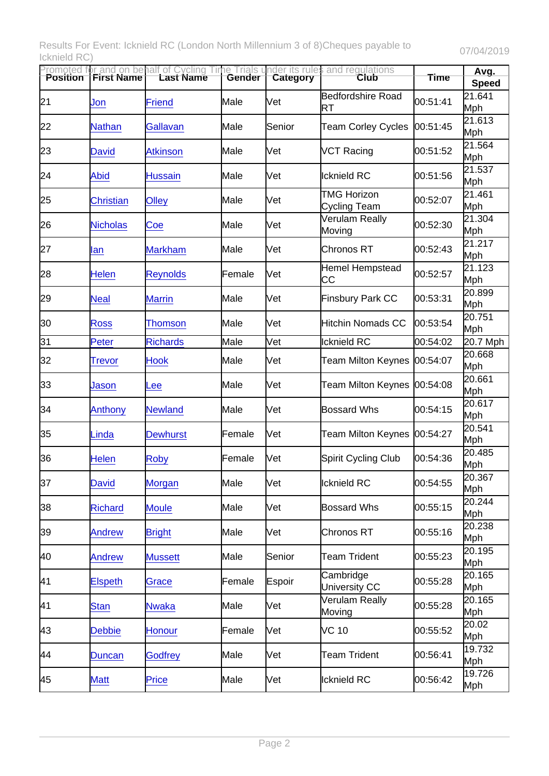Results For Event: Icknield RC (London North Millennium 3 of 8)Cheques payable to Icknield RC) 07/04/2019

|    |                  | Promoted for and on behalf of Cycling Time Trials u<br>Position  First Name   Last Name   Gender |        | Category | nder its rules and regulations<br>Club | <b>Time</b> | Avg.<br>Speed |
|----|------------------|--------------------------------------------------------------------------------------------------|--------|----------|----------------------------------------|-------------|---------------|
| 21 | Jon              | <b>Friend</b>                                                                                    | Male   | lVet     | <b>Bedfordshire Road</b><br>RT         | 00:51:41    | 21.641<br>Mph |
| 22 | <b>Nathan</b>    | Gallavan                                                                                         | Male   | Senior   | <b>Team Corley Cycles</b>              | 00:51:45    | 21.613<br>Mph |
| 23 | <b>David</b>     | <b>Atkinson</b>                                                                                  | Male   | Vet      | VCT Racing                             | 00:51:52    | 21.564<br>Mph |
| 24 | <b>Abid</b>      | <b>Hussain</b>                                                                                   | Male   | Vet      | <b>Icknield RC</b>                     | 00:51:56    | 21.537<br>Mph |
| 25 | <b>Christian</b> | Olley                                                                                            | Male   | Vet      | <b>TMG Horizon</b><br>Cycling Team     | 00:52:07    | 21.461<br>Mph |
| 26 | <b>Nicholas</b>  | Coe                                                                                              | Male   | Vet      | Verulam Really<br>Moving               | 00:52:30    | 21.304<br>Mph |
| 27 | lan              | <b>Markham</b>                                                                                   | Male   | Vet      | Chronos RT                             | 00:52:43    | 21.217<br>Mph |
| 28 | <b>Helen</b>     | <b>Reynolds</b>                                                                                  | Female | Vet      | Hemel Hempstead<br>CС                  | 00:52:57    | 21.123<br>Mph |
| 29 | <b>Neal</b>      | <b>Marrin</b>                                                                                    | Male   | Vet      | <b>Finsbury Park CC</b>                | 00:53:31    | 20.899<br>Mph |
| 30 | Ross             | <b>Thomson</b>                                                                                   | Male   | Vet      | <b>Hitchin Nomads CC</b>               | 00:53:54    | 20.751<br>Mph |
| 31 | Peter            | <b>Richards</b>                                                                                  | Male   | Vet      | Icknield RC                            | 00:54:02    | 20.7 Mph      |
| 32 | <b>Trevor</b>    | <b>Hook</b>                                                                                      | Male   | Vet      | Team Milton Keynes                     | 00:54:07    | 20.668<br>Mph |
| 33 | Jason            | Lee                                                                                              | Male   | Vet      | Team Milton Keynes                     | 00:54:08    | 20.661<br>Mph |
| 34 | Anthony          | <b>Newland</b>                                                                                   | Male   | Vet      | <b>Bossard Whs</b>                     | 00:54:15    | 20.617<br>Mph |
| 35 | Linda            | <b>Dewhurst</b>                                                                                  | Female | Vet      | Team Milton Keynes                     | 00:54:27    | 20.541<br>Mph |
| 36 | Helen            | <b>Roby</b>                                                                                      | Female | Vet      | Spirit Cycling Club                    | 00:54:36    | 20.485<br>Mph |
| 37 | <b>David</b>     | Morgan                                                                                           | Male   | Vet      | Icknield RC                            | 00:54:55    | 20.367<br>Mph |
| 38 | <b>Richard</b>   | <b>Moule</b>                                                                                     | Male   | Vet      | <b>Bossard Whs</b>                     | 00:55:15    | 20.244<br>Mph |
| 39 | <b>Andrew</b>    | <b>Bright</b>                                                                                    | Male   | Vet      | Chronos RT                             | 00:55:16    | 20.238<br>Mph |
| 40 | <b>Andrew</b>    | <b>Mussett</b>                                                                                   | Male   | Senior   | <b>Team Trident</b>                    | 00:55:23    | 20.195<br>Mph |
| 41 | <b>Elspeth</b>   | Grace                                                                                            | Female | Espoir   | Cambridge<br>University CC             | 00:55:28    | 20.165<br>Mph |
| 41 | <b>Stan</b>      | <b>Nwaka</b>                                                                                     | Male   | Vet      | <b>Verulam Really</b><br>Moving        | 00:55:28    | 20.165<br>Mph |
| 43 | <b>Debbie</b>    | <b>Honour</b>                                                                                    | Female | Vet      | VC 10                                  | 00:55:52    | 20.02<br>Mph  |
| 44 | <b>Duncan</b>    | <b>Godfrey</b>                                                                                   | Male   | Vet      | <b>Team Trident</b>                    | 00:56:41    | 19.732<br>Mph |
| 45 | <b>Matt</b>      | Price                                                                                            | Male   | Vet      | Icknield RC                            | 00:56:42    | 19.726<br>Mph |